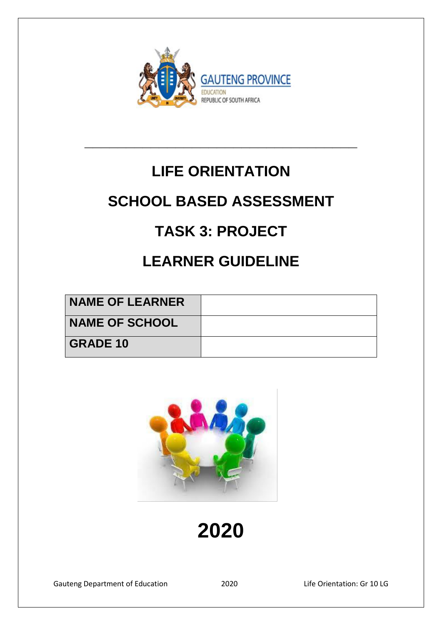

# **LIFE ORIENTATION**

**\_\_\_\_\_\_\_\_\_\_\_\_\_\_\_\_\_\_\_\_\_\_\_\_\_\_\_\_\_\_\_\_\_**

## **SCHOOL BASED ASSESSMENT**

## **TASK 3: PROJECT**

## **LEARNER GUIDELINE**

| <b>NAME OF LEARNER</b> |  |
|------------------------|--|
| <b>NAME OF SCHOOL</b>  |  |
| <b>GRADE 10</b>        |  |



# **2020**

Gauteng Department of Education 2020 Life Orientation: Gr 10 LG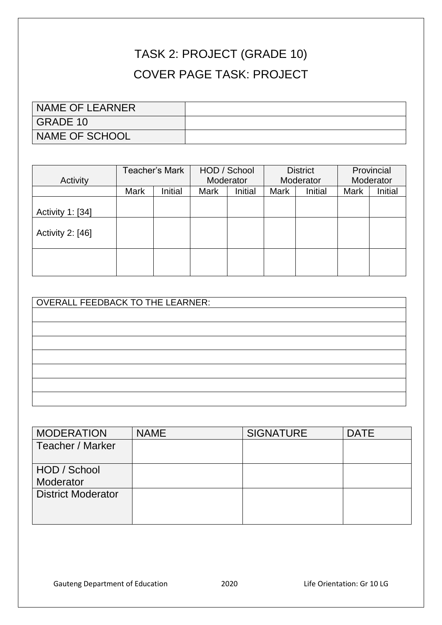## TASK 2: PROJECT (GRADE 10) COVER PAGE TASK: PROJECT

| NAME OF LEARNER       |  |
|-----------------------|--|
| GRADE 10              |  |
| <b>NAME OF SCHOOL</b> |  |

|                  | Teacher's Mark |         | HOD / School |         | <b>District</b> |         | Provincial |         |
|------------------|----------------|---------|--------------|---------|-----------------|---------|------------|---------|
| Activity         |                |         | Moderator    |         | Moderator       |         | Moderator  |         |
|                  | <b>Mark</b>    | Initial | Mark         | Initial | <b>Mark</b>     | Initial | Mark       | Initial |
|                  |                |         |              |         |                 |         |            |         |
| Activity 1: [34] |                |         |              |         |                 |         |            |         |
| Activity 2: [46] |                |         |              |         |                 |         |            |         |
|                  |                |         |              |         |                 |         |            |         |

| <b>OVERALL FEEDBACK TO THE LEARNER:</b> |  |
|-----------------------------------------|--|
|                                         |  |
|                                         |  |
|                                         |  |
|                                         |  |
|                                         |  |
|                                         |  |
|                                         |  |

| <b>MODERATION</b>         | <b>NAME</b> | <b>SIGNATURE</b> | <b>DATE</b> |
|---------------------------|-------------|------------------|-------------|
| Teacher / Marker          |             |                  |             |
|                           |             |                  |             |
| HOD / School              |             |                  |             |
| Moderator                 |             |                  |             |
| <b>District Moderator</b> |             |                  |             |
|                           |             |                  |             |
|                           |             |                  |             |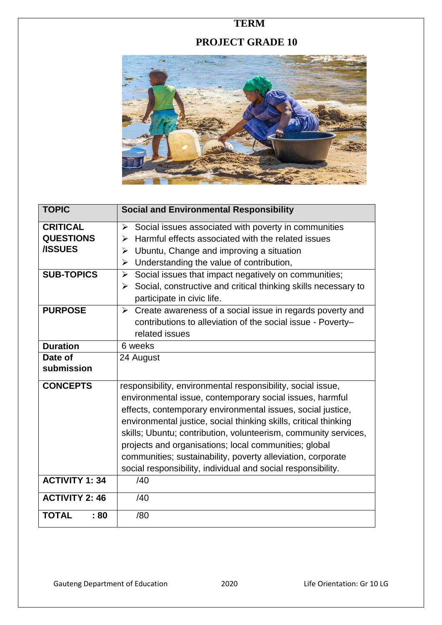### **TERM**

## **PROJECT GRADE 10**



| <b>TOPIC</b>          | <b>Social and Environmental Responsibility</b>                                |
|-----------------------|-------------------------------------------------------------------------------|
| <b>CRITICAL</b>       | Social issues associated with poverty in communities<br>➤                     |
| <b>QUESTIONS</b>      | Harmful effects associated with the related issues<br>⋗                       |
| <b>/ISSUES</b>        | Ubuntu, Change and improving a situation<br>➤                                 |
|                       | Understanding the value of contribution,<br>➤                                 |
| <b>SUB-TOPICS</b>     | Social issues that impact negatively on communities;<br>$\blacktriangleright$ |
|                       | Social, constructive and critical thinking skills necessary to<br>➤           |
|                       | participate in civic life.                                                    |
| <b>PURPOSE</b>        | $\triangleright$ Create awareness of a social issue in regards poverty and    |
|                       | contributions to alleviation of the social issue - Poverty-                   |
|                       | related issues                                                                |
| <b>Duration</b>       | 6 weeks                                                                       |
| Date of               | 24 August                                                                     |
| submission            |                                                                               |
| <b>CONCEPTS</b>       | responsibility, environmental responsibility, social issue,                   |
|                       | environmental issue, contemporary social issues, harmful                      |
|                       | effects, contemporary environmental issues, social justice,                   |
|                       | environmental justice, social thinking skills, critical thinking              |
|                       | skills; Ubuntu; contribution, volunteerism, community services,               |
|                       | projects and organisations; local communities; global                         |
|                       | communities; sustainability, poverty alleviation, corporate                   |
|                       | social responsibility, individual and social responsibility.                  |
| <b>ACTIVITY 1: 34</b> | /40                                                                           |
| <b>ACTIVITY 2: 46</b> | /40                                                                           |
| <b>TOTAL</b><br>:80   | /80                                                                           |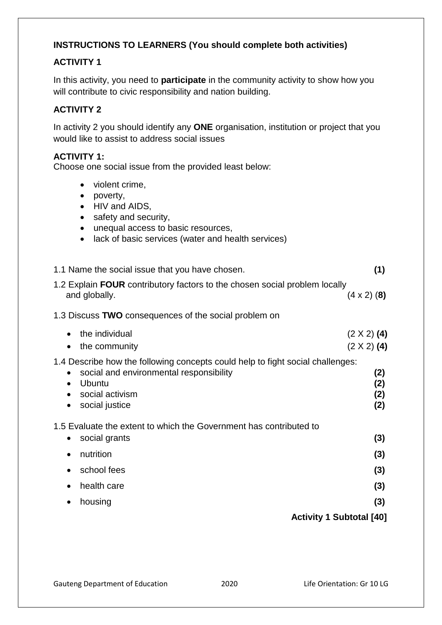#### **INSTRUCTIONS TO LEARNERS (You should complete both activities)**

#### **ACTIVITY 1**

In this activity, you need to **participate** in the community activity to show how you will contribute to civic responsibility and nation building.

#### **ACTIVITY 2**

In activity 2 you should identify any **ONE** organisation, institution or project that you would like to assist to address social issues

#### **ACTIVITY 1:**

Choose one social issue from the provided least below:

- violent crime,
- poverty,
- HIV and AIDS,
- safety and security,
- unequal access to basic resources,
- lack of basic services (water and health services)

| 1.1 Name the social issue that you have chosen.                                                                                                                                                                      | (1)                                      |
|----------------------------------------------------------------------------------------------------------------------------------------------------------------------------------------------------------------------|------------------------------------------|
| 1.2 Explain FOUR contributory factors to the chosen social problem locally<br>and globally.                                                                                                                          | $(4 \times 2)$ (8)                       |
| 1.3 Discuss TWO consequences of the social problem on                                                                                                                                                                |                                          |
| the individual<br>$\bullet$<br>the community<br>$\bullet$                                                                                                                                                            | $(2 \times 2)$ (4)<br>$(2 \times 2)$ (4) |
| 1.4 Describe how the following concepts could help to fight social challenges:<br>social and environmental responsibility<br>$\bullet$<br>Ubuntu<br>$\bullet$<br>social activism<br>$\bullet$<br>social justice<br>٠ | (2)<br>(2)<br>(2)<br>(2)                 |
| 1.5 Evaluate the extent to which the Government has contributed to                                                                                                                                                   |                                          |
| social grants                                                                                                                                                                                                        | (3)                                      |
| nutrition<br>$\bullet$                                                                                                                                                                                               | (3)                                      |
| school fees                                                                                                                                                                                                          | (3)                                      |
| health care                                                                                                                                                                                                          | (3)                                      |
| housing                                                                                                                                                                                                              | (3)                                      |
| <b>Activity 1 Subtotal [40]</b>                                                                                                                                                                                      |                                          |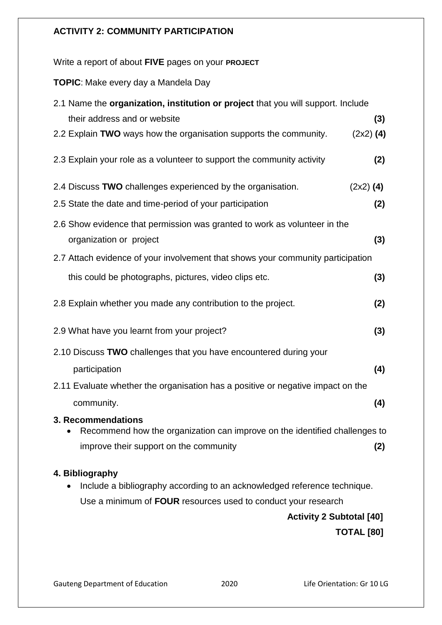#### **ACTIVITY 2: COMMUNITY PARTICIPATION**

Write a report of about **FIVE** pages on your **PROJECT** 

**TOPIC**: Make every day a Mandela Day

| 2.1 Name the organization, institution or project that you will support. Include                                                           |             |
|--------------------------------------------------------------------------------------------------------------------------------------------|-------------|
| their address and or website                                                                                                               | (3)         |
| 2.2 Explain TWO ways how the organisation supports the community.                                                                          | $(2x2)$ (4) |
| 2.3 Explain your role as a volunteer to support the community activity                                                                     | (2)         |
| 2.4 Discuss TWO challenges experienced by the organisation.                                                                                | $(2x2)$ (4) |
| 2.5 State the date and time-period of your participation                                                                                   | (2)         |
| 2.6 Show evidence that permission was granted to work as volunteer in the<br>organization or project                                       | (3)         |
| 2.7 Attach evidence of your involvement that shows your community participation                                                            |             |
| this could be photographs, pictures, video clips etc.                                                                                      | (3)         |
| 2.8 Explain whether you made any contribution to the project.                                                                              | (2)         |
| 2.9 What have you learnt from your project?                                                                                                | (3)         |
| 2.10 Discuss TWO challenges that you have encountered during your                                                                          |             |
| participation                                                                                                                              | (4)         |
| 2.11 Evaluate whether the organisation has a positive or negative impact on the                                                            |             |
| community.                                                                                                                                 | (4)         |
| 3. Recommendations<br>Recommend how the organization can improve on the identified challenges to<br>improve their support on the community | (2)         |
| 4. Bibliography                                                                                                                            |             |
| Include a bibliography according to an acknowledged reference technique.                                                                   |             |
| Use a minimum of FOUR resources used to conduct your research                                                                              |             |
| <b>Activity 2 Subtotal [40]</b>                                                                                                            |             |

 **TOTAL [80]**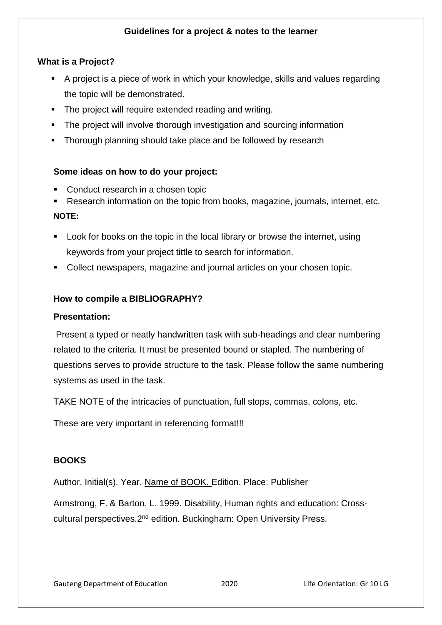#### **Guidelines for a project & notes to the learner**

#### **What is a Project?**

- A project is a piece of work in which your knowledge, skills and values regarding the topic will be demonstrated.
- The project will require extended reading and writing.
- **The project will involve thorough investigation and sourcing information**
- **Thorough planning should take place and be followed by research**

#### **Some ideas on how to do your project:**

- Conduct research in a chosen topic
- Research information on the topic from books, magazine, journals, internet, etc. **NOTE:**
- **Look for books on the topic in the local library or browse the internet, using** keywords from your project tittle to search for information.
- Collect newspapers, magazine and journal articles on your chosen topic.

#### **How to compile a BIBLIOGRAPHY?**

#### **Presentation:**

Present a typed or neatly handwritten task with sub-headings and clear numbering related to the criteria. It must be presented bound or stapled. The numbering of questions serves to provide structure to the task. Please follow the same numbering systems as used in the task.

TAKE NOTE of the intricacies of punctuation, full stops, commas, colons, etc.

These are very important in referencing format!!!

#### **BOOKS**

Author, Initial(s). Year. Name of BOOK. Edition. Place: Publisher

Armstrong, F. & Barton. L. 1999. Disability, Human rights and education: Crosscultural perspectives. 2<sup>nd</sup> edition. Buckingham: Open University Press.